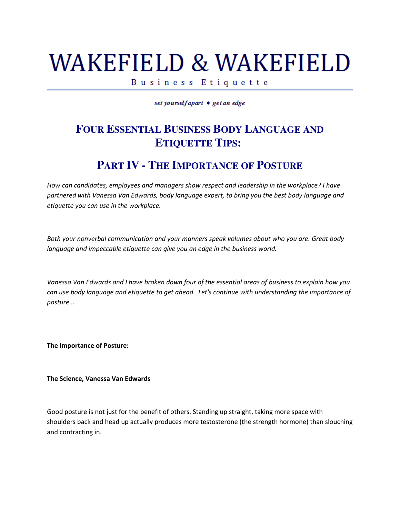## WAKEFIELD & WAKEFIELD

Business Etiquette

set yourselfapart • get an edge

## **FOUR ESSENTIAL BUSINESS BODY LANGUAGE AND ETIQUETTE TIPS:**

## **PART IV - THE IMPORTANCE OF POSTURE**

How can candidates, employees and managers show respect and leadership in the workplace? I have partnered with Vanessa Van Edwards, body language expert, to bring you the best body language and etiquette you can use in the workplace.

Both your nonverbal communication and your manners speak volumes about who you are. Great body language and impeccable etiquette can give you an edge in the business world.

Vanessa Van Edwards and I have broken down four of the essential areas of business to explain how you can use body language and etiquette to get ahead. Let's continue with understanding the importance of posture...

The Importance of Posture:

The Science, Vanessa Van Edwards

Good posture is not just for the benefit of others. Standing up straight, taking more space with shoulders back and head up actually produces more testosterone (the strength hormone) than slouching and contracting in.